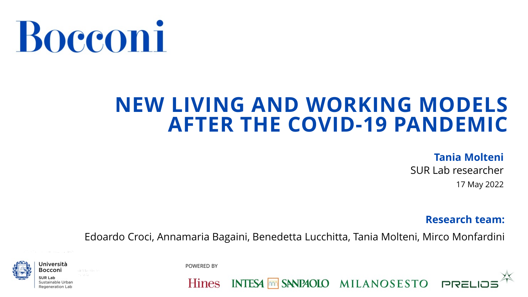

#### **NEW LIVING AND WORKING MODELS AFTER THE COVID-19 PANDEMIC**

#### **Tania Molteni**

SUR Lab researcher 17 May 2022

**Research team:** 

Edoardo Croci, Annamaria Bagaini, Benedetta Lucchitta, Tania Molteni, Mirco Monfardini



POWERED BY

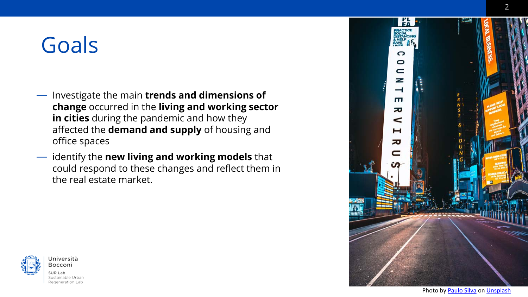## Goals

- Investigate the main **trends and dimensions of change** occurred in the **living and working sector in cities** during the pandemic and how they affected the **demand and supply** of housing and office spaces
- identify the **new living and working models** that could respond to these changes and reflect them in the real estate market.



Università Bocconi SUR Lab Sustainable Urban Regeneration Lab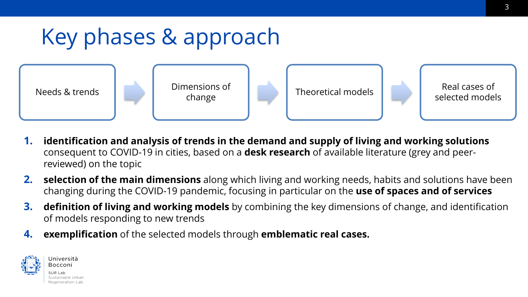## Key phases & approach



Needs & trends Dimensions of

Theoretical models **Real cases of** 

selected models

- **1. identification and analysis of trends in the demand and supply of living and working solutions** consequent to COVID-19 in cities, based on a **desk research** of available literature (grey and peerreviewed) on the topic
- **2. selection of the main dimensions** along which living and working needs, habits and solutions have been changing during the COVID-19 pandemic, focusing in particular on the **use of spaces and of services**
- **3. definition of living and working models** by combining the key dimensions of change, and identification of models responding to new trends
- **4. exemplification** of the selected models through **emblematic real cases.**



Università Bocconi Sustainable Urbar Regeneration Lab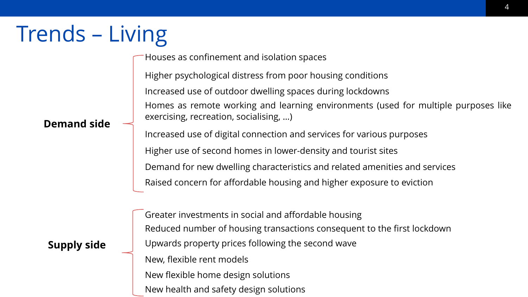# Trends – Living

Houses as confinement and isolation spaces

Higher psychological distress from poor housing conditions Increased use of outdoor dwelling spaces during lockdowns Homes as remote working and learning environments (used for multiple purposes like exercising, recreation, socialising, …)

**Demand side**

Increased use of digital connection and services for various purposes Higher use of second homes in lower-density and tourist sites Demand for new dwelling characteristics and related amenities and services Raised concern for affordable housing and higher exposure to eviction

#### **Supply side**

Greater investments in social and affordable housing Reduced number of housing transactions consequent to the first lockdown Upwards property prices following the second wave New, flexible rent models New flexible home design solutions New health and safety design solutions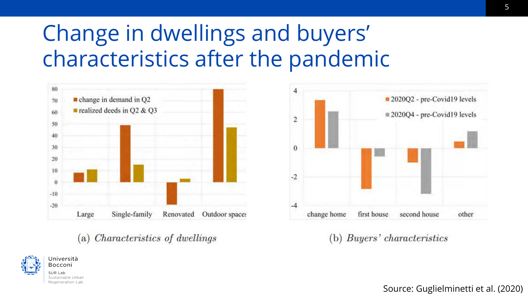## Change in dwellings and buyers' characteristics after the pandemic



#### *Characteristics of dwellings*  $(a)$





Buyers' characteristics  $(b)$ 

5

Source: Guglielminetti et al. (2020)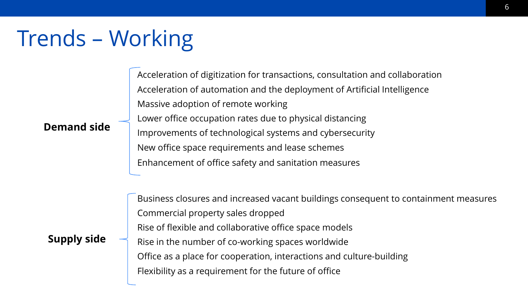## Trends – Working

Acceleration of digitization for transactions, consultation and collaboration Acceleration of automation and the deployment of Artificial Intelligence Massive adoption of remote working Lower office occupation rates due to physical distancing Improvements of technological systems and cybersecurity New office space requirements and lease schemes Enhancement of office safety and sanitation measures

#### **Demand side**

#### **Supply side**

Business closures and increased vacant buildings consequent to containment measures Commercial property sales dropped Rise of flexible and collaborative office space models Rise in the number of co-working spaces worldwide Office as a place for cooperation, interactions and culture-building Flexibility as a requirement for the future of office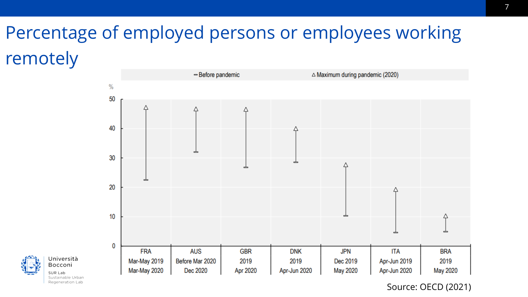### Percentage of employed persons or employees working remotely





Sustainable Urban Regeneration Lab

Source: OECD (2021)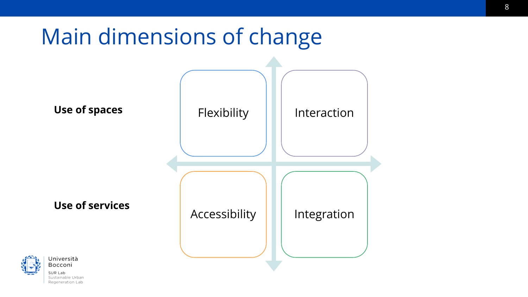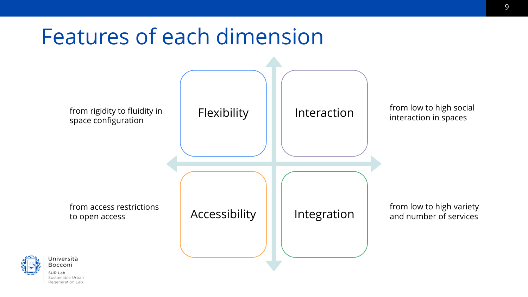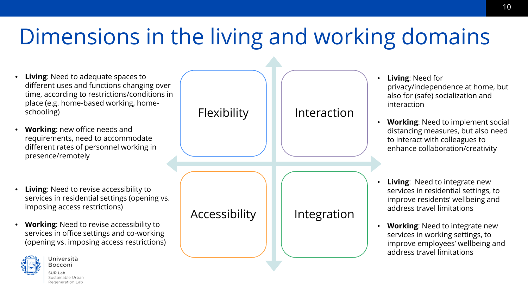## Dimensions in the living and working domains

- **Living:** Need to adequate spaces to different uses and functions changing over time, according to restrictions/conditions in place (e.g. home-based working, homeschooling)
- **Working**: new office needs and requirements, need to accommodate different rates of personnel working in presence/remotely
- **Living:** Need to revise accessibility to services in residential settings (opening vs. imposing access restrictions)
- **Working**: Need to revise accessibility to services in office settings and co-working (opening vs. imposing access restrictions)



Università Bocconi SUR Lab Sustainable Urbar

Regeneration Lab



- **Living**: Need for privacy/independence at home, but also for (safe) socialization and interaction
- **Working**: Need to implement social distancing measures, but also need to interact with colleagues to enhance collaboration/creativity
- **Living:** Need to integrate new services in residential settings, to improve residents' wellbeing and address travel limitations
- **Working**: Need to integrate new services in working settings, to improve employees' wellbeing and address travel limitations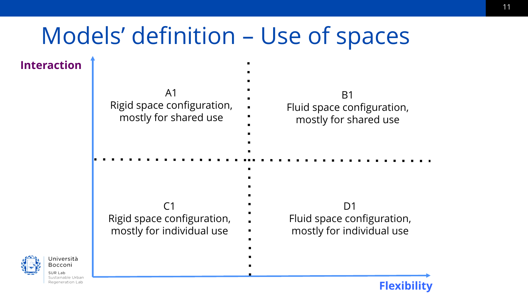## Models' definition – Use of spaces

**Interaction**

Jniversità Bocconi SUR Lab

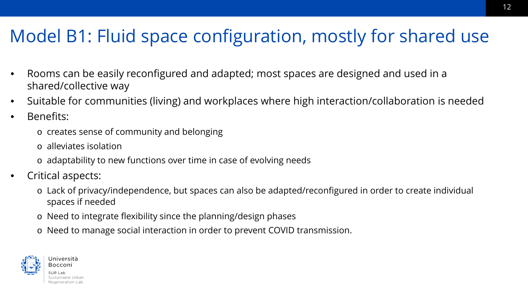#### Model B1: Fluid space configuration, mostly for shared use

12

- Rooms can be easily reconfigured and adapted; most spaces are designed and used in a shared/collective way
- Suitable for communities (living) and workplaces where high interaction/collaboration is needed
- Benefits:
	- o creates sense of community and belonging
	- o alleviates isolation
	- o adaptability to new functions over time in case of evolving needs
- Critical aspects:
	- o Lack of privacy/independence, but spaces can also be adapted/reconfigured in order to create individual spaces if needed
	- o Need to integrate flexibility since the planning/design phases
	- o Need to manage social interaction in order to prevent COVID transmission.

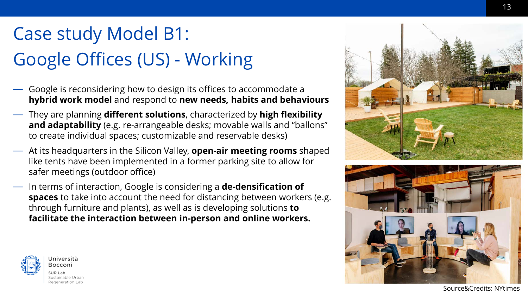### Case study Model B1: Google Offices (US) - Working

- Google is reconsidering how to design its offices to accommodate a **hybrid work model** and respond to **new needs, habits and behaviours**
- They are planning **different solutions**, characterized by **high flexibility and adaptability** (e.g. re-arrangeable desks; movable walls and "ballons" to create individual spaces; customizable and reservable desks)
- At its headquarters in the Silicon Valley, **open-air meeting rooms** shaped like tents have been implemented in a former parking site to allow for safer meetings (outdoor office)
- In terms of interaction, Google is considering a **de-densification of spaces** to take into account the need for distancing between workers (e.g. through furniture and plants), as well as is developing solutions **to facilitate the interaction between in-person and online workers.**







Source&Credits: NYtimes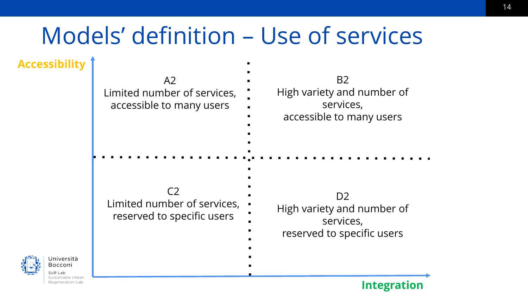# Models' definition – Use of services

 $\blacksquare$ 

**Accessibility**

| A2<br>Limited number of services,<br>accessible to many users               | <b>B2</b><br>High variety and number of<br>services,<br>accessible to many users        |
|-----------------------------------------------------------------------------|-----------------------------------------------------------------------------------------|
| C <sub>2</sub><br>Limited number of services,<br>reserved to specific users | D <sub>2</sub><br>High variety and number of<br>services,<br>reserved to specific users |



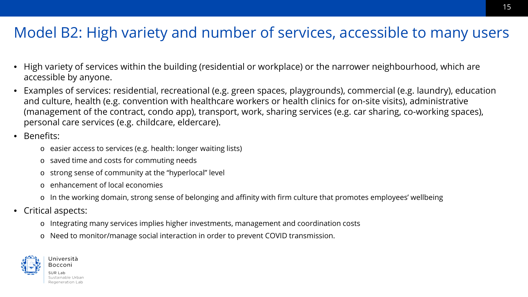#### Model B2: High variety and number of services, accessible to many users

- High variety of services within the building (residential or workplace) or the narrower neighbourhood, which are accessible by anyone.
- Examples of services: residential, recreational (e.g. green spaces, playgrounds), commercial (e.g. laundry), education and culture, health (e.g. convention with healthcare workers or health clinics for on-site visits), administrative (management of the contract, condo app), transport, work, sharing services (e.g. car sharing, co-working spaces), personal care services (e.g. childcare, eldercare).
- Benefits:
	- o easier access to services (e.g. health: longer waiting lists)
	- o saved time and costs for commuting needs
	- o strong sense of community at the "hyperlocal" level
	- o enhancement of local economies
	- o In the working domain, strong sense of belonging and affinity with firm culture that promotes employees' wellbeing
- Critical aspects:
	- o Integrating many services implies higher investments, management and coordination costs
	- o Need to monitor/manage social interaction in order to prevent COVID transmission.

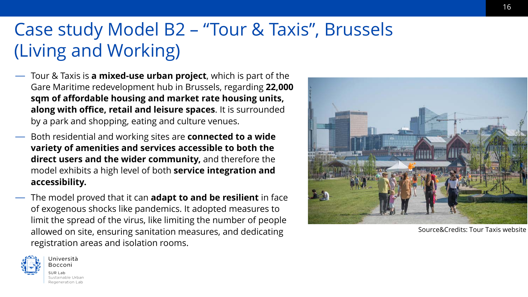#### Case study Model B2 – "Tour & Taxis", Brussels (Living and Working)

- Tour & Taxis is **a mixed-use urban project**, which is part of the Gare Maritime redevelopment hub in Brussels, regarding **22,000 sqm of affordable housing and market rate housing units, along with office, retail and leisure spaces**. It is surrounded by a park and shopping, eating and culture venues.
- Both residential and working sites are **connected to a wide variety of amenities and services accessible to both the direct users and the wider community,** and therefore the model exhibits a high level of both **service integration and accessibility.**
- The model proved that it can **adapt to and be resilient** in face of exogenous shocks like pandemics. It adopted measures to limit the spread of the virus, like limiting the number of people allowed on site, ensuring sanitation measures, and dedicating registration areas and isolation rooms.



Source&Credits: Tour Taxis website

16

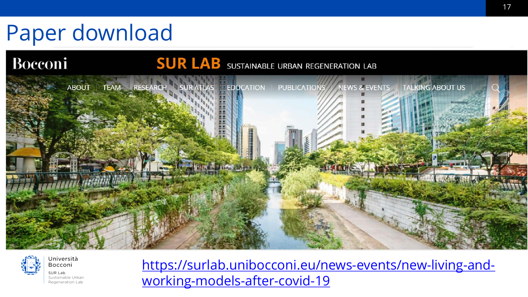# Paper download

#### **Bocconi SUR LAB** SUSTAINABLE URBAN REGENERATION LAB





SUR Lab Sustainable Urban Regeneration Lab

Università Bocconi

[https://surlab.unibocconi.eu/news-events/new-living-and](https://surlab.unibocconi.eu/news-events/new-living-and-working-models-after-covid-19)working-models-after-covid-19